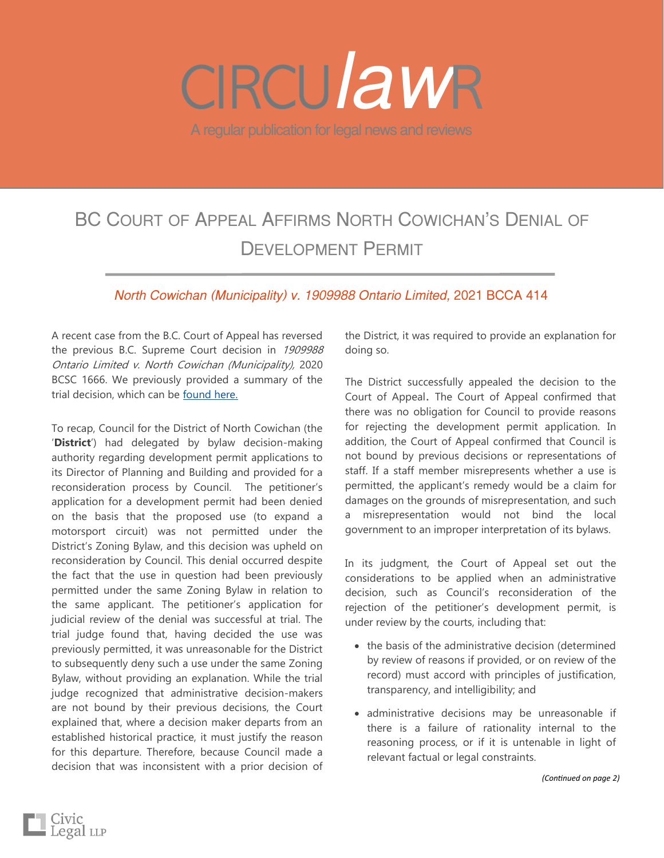# A regular publication for legal news and reviews *law*

## BC COURT OF APPEAL AFFIRMS NORTH COWICHAN'S DENIAL OF DEVELOPMENT PERMIT

### *North Cowichan (Municipality) v. 1909988 Ontario Limited,* 2021 BCCA 414

A recent case from the B.C. Court of Appeal has reversed the previous B.C. Supreme Court decision in 1909988 Ontario Limited v. North Cowichan (Municipality), 2020 BCSC 1666. We previously provided a summary of the trial decision, which can be [found here.](http://civiclegal.ca/wp-content/uploads/2020/12/CircuLAWr-Dec-2020-Ontario-Limited-v-North-Cowichan.pdf)

To recap, Council for the District of North Cowichan (the '**District**') had delegated by bylaw decision-making authority regarding development permit applications to its Director of Planning and Building and provided for a reconsideration process by Council. The petitioner's application for a development permit had been denied on the basis that the proposed use (to expand a motorsport circuit) was not permitted under the District's Zoning Bylaw, and this decision was upheld on reconsideration by Council. This denial occurred despite the fact that the use in question had been previously permitted under the same Zoning Bylaw in relation to the same applicant. The petitioner's application for judicial review of the denial was successful at trial. The trial judge found that, having decided the use was previously permitted, it was unreasonable for the District to subsequently deny such a use under the same Zoning Bylaw, without providing an explanation. While the trial judge recognized that administrative decision-makers are not bound by their previous decisions, the Court explained that, where a decision maker departs from an established historical practice, it must justify the reason for this departure. Therefore, because Council made a decision that was inconsistent with a prior decision of

Civic<br>Legal <sub>LLP</sub>

the District, it was required to provide an explanation for doing so.

The District successfully appealed the decision to the Court of Appeal. The Court of Appeal confirmed that there was no obligation for Council to provide reasons for rejecting the development permit application. In addition, the Court of Appeal confirmed that Council is not bound by previous decisions or representations of staff. If a staff member misrepresents whether a use is permitted, the applicant's remedy would be a claim for damages on the grounds of misrepresentation, and such a misrepresentation would not bind the local government to an improper interpretation of its bylaws.

In its judgment, the Court of Appeal set out the considerations to be applied when an administrative decision, such as Council's reconsideration of the rejection of the petitioner's development permit, is under review by the courts, including that:

- the basis of the administrative decision (determined by review of reasons if provided, or on review of the record) must accord with principles of justification, transparency, and intelligibility; and
- administrative decisions may be unreasonable if there is a failure of rationality internal to the reasoning process, or if it is untenable in light of relevant factual or legal constraints.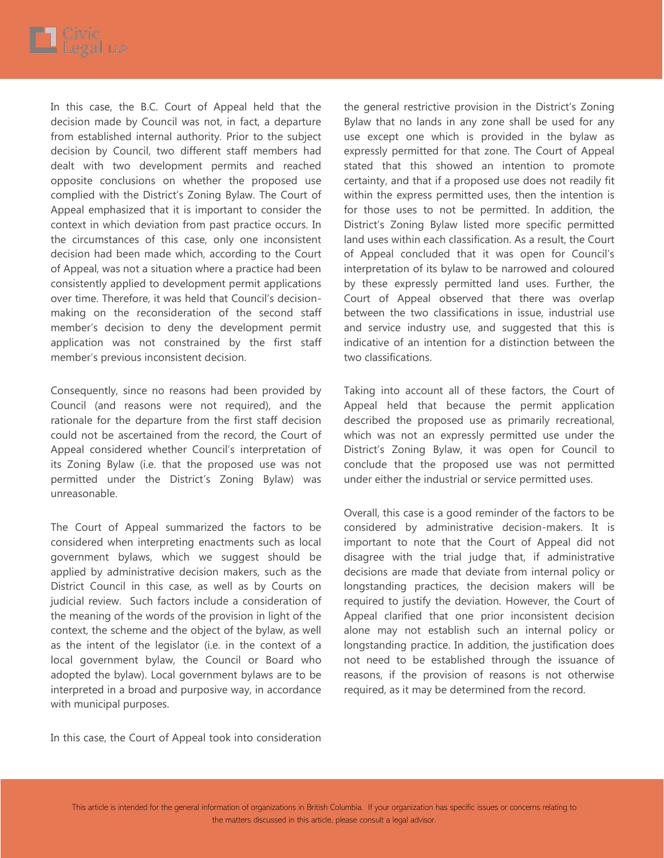

In this case, the B.C. Court of Appeal held that the decision made by Council was not, in fact, a departure from established internal authority. Prior to the subject decision by Council, two different staff members had dealt with two development permits and reached opposite conclusions on whether the proposed use complied with the District's Zoning Bylaw. The Court of Appeal emphasized that it is important to consider the context in which deviation from past practice occurs. In the circumstances of this case, only one inconsistent decision had been made which, according to the Court of Appeal, was not a situation where a practice had been consistently applied to development permit applications over time. Therefore, it was held that Council's decisionmaking on the reconsideration of the second staff member's decision to deny the development permit application was not constrained by the first staff member's previous inconsistent decision.

Consequently, since no reasons had been provided by Council (and reasons were not required), and the rationale for the departure from the first staff decision could not be ascertained from the record, the Court of Appeal considered whether Council's interpretation of its Zoning Bylaw (i.e. that the proposed use was not permitted under the District's Zoning Bylaw) was unreasonable.

The Court of Appeal summarized the factors to be considered when interpreting enactments such as local government bylaws, which we suggest should be applied by administrative decision makers, such as the District Council in this case, as well as by Courts on judicial review. Such factors include a consideration of the meaning of the words of the provision in light of the context, the scheme and the object of the bylaw, as well as the intent of the legislator (i.e. in the context of a local government bylaw, the Council or Board who adopted the bylaw). Local government bylaws are to be interpreted in a broad and purposive way, in accordance with municipal purposes.

the general restrictive provision in the District's Zoning Bylaw that no lands in any zone shall be used for any use except one which is provided in the bylaw as expressly permitted for that zone. The Court of Appeal stated that this showed an intention to promote certainty, and that if a proposed use does not readily fit within the express permitted uses, then the intention is for those uses to not be permitted. In addition, the District's Zoning Bylaw listed more specific permitted land uses within each classification. As a result, the Court of Appeal concluded that it was open for Council's interpretation of its bylaw to be narrowed and coloured by these expressly permitted land uses. Further, the Court of Appeal observed that there was overlap between the two classifications in issue, industrial use and service industry use, and suggested that this is indicative of an intention for a distinction between the two classifications.

Taking into account all of these factors, the Court of Appeal held that because the permit application described the proposed use as primarily recreational, which was not an expressly permitted use under the District's Zoning Bylaw, it was open for Council to conclude that the proposed use was not permitted under either the industrial or service permitted uses.

Overall, this case is a good reminder of the factors to be considered by administrative decision-makers. It is important to note that the Court of Appeal did not disagree with the trial judge that, if administrative decisions are made that deviate from internal policy or longstanding practices, the decision makers will be required to justify the deviation. However, the Court of Appeal clarified that one prior inconsistent decision alone may not establish such an internal policy or longstanding practice. In addition, the justification does not need to be established through the issuance of reasons, if the provision of reasons is not otherwise required, as it may be determined from the record.

In this case, the Court of Appeal took into consideration